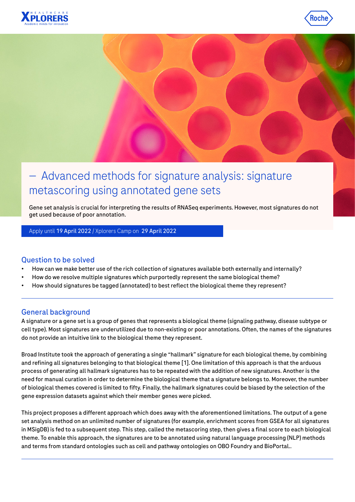





# — Advanced methods for signature analysis: signature metascoring using annotated gene sets

Gene set analysis is crucial for interpreting the results of RNASeq experiments. However, most signatures do not get used because of poor annotation.

Apply until 19 April 2022 / Xplorers Camp on 29 April 2022

## Question to be solved

- How can we make better use of the rich collection of signatures available both externally and internally?
- How do we resolve multiple signatures which purportedly represent the same biological theme?
- How should signatures be tagged (annotated) to best reflect the biological theme they represent?

## General background

A signature or a gene set is a group of genes that represents a biological theme (signaling pathway, disease subtype or cell type). Most signatures are underutilized due to non-existing or poor annotations. Often, the names of the signatures do not provide an intuitive link to the biological theme they represent.

Broad Institute took the approach of generating a single "hallmark" signature for each biological theme, by combining and refining all signatures belonging to that biological theme [1]. One limitation of this approach is that the arduous process of generating all hallmark signatures has to be repeated with the addition of new signatures. Another is the need for manual curation in order to determine the biological theme that a signature belongs to. Moreover, the number of biological themes covered is limited to fifty. Finally, the hallmark signatures could be biased by the selection of the gene expression datasets against which their member genes were picked.

This project proposes a different approach which does away with the aforementioned limitations. The output of a gene set analysis method on an unlimited number of signatures (for example, enrichment scores from GSEA for all signatures in MSigDB) is fed to a subsequent step. This step, called the metascoring step, then gives a final score to each biological theme. To enable this approach, the signatures are to be annotated using natural language processing (NLP) methods and terms from standard ontologies such as cell and pathway ontologies on OBO Foundry and BioPortal..